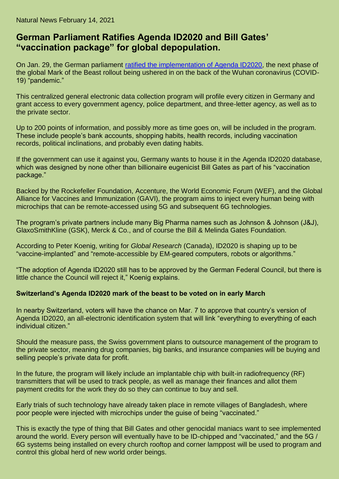Natural News February 14, 2021

## **German Parliament Ratifies Agenda ID2020 and Bill Gates' "vaccination package" for global depopulation.**

On Jan. 29, the German parliament [ratified the implementation of Agenda ID2020,](https://www.globalresearch.ca/implanted-vaccine-package-id-germanys-parliament-has-ratified-gavis-digital-agenda-id2020/5736277) the next phase of the global Mark of the Beast rollout being ushered in on the back of the Wuhan coronavirus (COVID-19) "pandemic."

This centralized general electronic data collection program will profile every citizen in Germany and grant access to every government agency, police department, and three-letter agency, as well as to the private sector.

Up to 200 points of information, and possibly more as time goes on, will be included in the program. These include people's bank accounts, shopping habits, health records, including vaccination records, political inclinations, and probably even dating habits.

If the government can use it against you, Germany wants to house it in the Agenda ID2020 database, which was designed by none other than billionaire eugenicist Bill Gates as part of his "vaccination package."

Backed by the Rockefeller Foundation, Accenture, the World Economic Forum (WEF), and the Global Alliance for Vaccines and Immunization (GAVI), the program aims to inject every human being with microchips that can be remote-accessed using 5G and subsequent 6G technologies.

The program's private partners include many Big Pharma names such as Johnson & Johnson (J&J), GlaxoSmithKline (GSK), Merck & Co., and of course the Bill & Melinda Gates Foundation.

According to Peter Koenig, writing for *Global Research* (Canada), ID2020 is shaping up to be "vaccine-implanted" and "remote-accessible by EM-geared computers, robots or algorithms."

"The adoption of Agenda ID2020 still has to be approved by the German Federal Council, but there is little chance the Council will reject it," Koenig explains.

## **Switzerland's Agenda ID2020 mark of the beast to be voted on in early March**

In nearby Switzerland, voters will have the chance on Mar. 7 to approve that country's version of Agenda ID2020, an all-electronic identification system that will link "everything to everything of each individual citizen."

Should the measure pass, the Swiss government plans to outsource management of the program to the private sector, meaning drug companies, big banks, and insurance companies will be buying and selling people's private data for profit.

In the future, the program will likely include an implantable chip with built-in radiofrequency (RF) transmitters that will be used to track people, as well as manage their finances and allot them payment credits for the work they do so they can continue to buy and sell.

Early trials of such technology have already taken place in remote villages of Bangladesh, where poor people were injected with microchips under the guise of being "vaccinated."

This is exactly the type of thing that Bill Gates and other genocidal maniacs want to see implemented around the world. Every person will eventually have to be ID-chipped and "vaccinated," and the 5G / 6G systems being installed on every church rooftop and corner lamppost will be used to program and control this global herd of new world order beings.